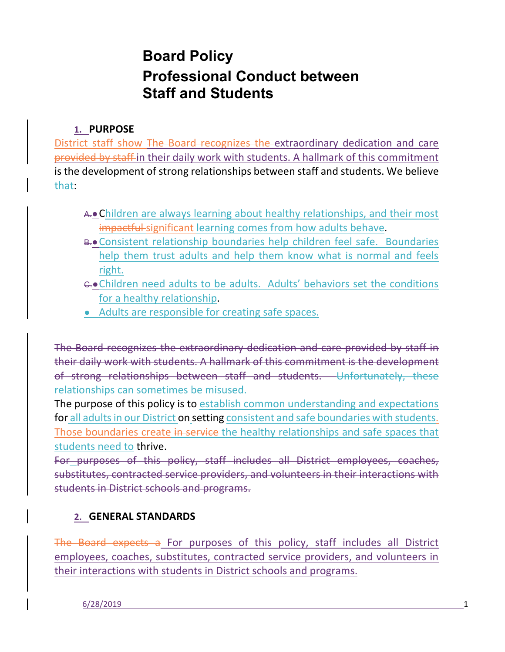## **1. PURPOSE**

District staff show The Board recognizes the extraordinary dedication and care provided by staff in their daily work with students. A hallmark of this commitment is the development of strong relationships between staff and students. We believe that:

- A.• Children are always learning about healthy relationships, and their most impactful significant learning comes from how adults behave.
- B.● Consistent relationship boundaries help children feel safe. Boundaries help them trust adults and help them know what is normal and feels right.
- G.•Children need adults to be adults. Adults' behaviors set the conditions for a healthy relationship.
- Adults are responsible for creating safe spaces.

The Board recognizes the extraordinary dedication and care provided by staff in their daily work with students. A hallmark of this commitment is the development of strong relationships between staff and students. Unfortunately, these relationships can sometimes be misused.

The purpose of this policy is to establish common understanding and expectations for all adults in our District on setting consistent and safe boundaries with students. Those boundaries create in service the healthy relationships and safe spaces that students need to thrive.

For purposes of this policy, staff includes all District employees, coaches, substitutes, contracted service providers, and volunteers in their interactions with students in District schools and programs.

### **2. GENERAL STANDARDS**

The Board expects a For purposes of this policy, staff includes all District employees, coaches, substitutes, contracted service providers, and volunteers in their interactions with students in District schools and programs.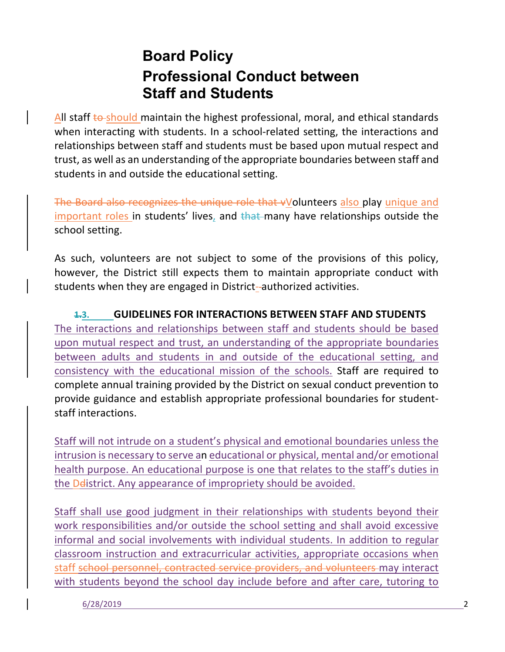All staff to should maintain the highest professional, moral, and ethical standards when interacting with students. In a school-related setting, the interactions and relationships between staff and students must be based upon mutual respect and trust, as well as an understanding of the appropriate boundaries between staff and students in and outside the educational setting.

The Board also recognizes the unique role that vVolunteers also play unique and important roles in students' lives, and that many have relationships outside the school setting.

As such, volunteers are not subject to some of the provisions of this policy, however, the District still expects them to maintain appropriate conduct with students when they are engaged in District--authorized activities.

**1.3. GUIDELINES FOR INTERACTIONS BETWEEN STAFF AND STUDENTS** The interactions and relationships between staff and students should be based upon mutual respect and trust, an understanding of the appropriate boundaries between adults and students in and outside of the educational setting, and consistency with the educational mission of the schools. Staff are required to complete annual training provided by the District on sexual conduct prevention to provide guidance and establish appropriate professional boundaries for studentstaff interactions.

Staff will not intrude on a student's physical and emotional boundaries unless the intrusion is necessary to serve an educational or physical, mental and/or emotional health purpose. An educational purpose is one that relates to the staff's duties in the Delistrict. Any appearance of impropriety should be avoided.

Staff shall use good judgment in their relationships with students beyond their work responsibilities and/or outside the school setting and shall avoid excessive informal and social involvements with individual students. In addition to regular classroom instruction and extracurricular activities, appropriate occasions when staff school personnel, contracted service providers, and volunteers may interact with students beyond the school day include before and after care, tutoring to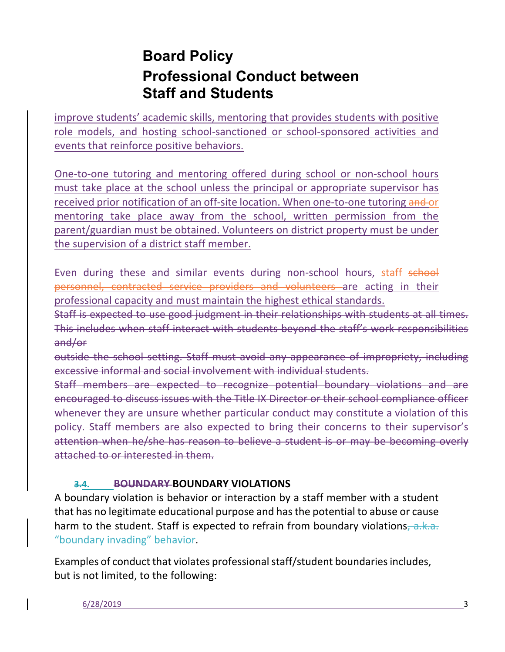improve students' academic skills, mentoring that provides students with positive role models, and hosting school-sanctioned or school-sponsored activities and events that reinforce positive behaviors.

One-to-one tutoring and mentoring offered during school or non-school hours must take place at the school unless the principal or appropriate supervisor has received prior notification of an off-site location. When one-to-one tutoring and or mentoring take place away from the school, written permission from the parent/guardian must be obtained. Volunteers on district property must be under the supervision of a district staff member.

Even during these and similar events during non-school hours, staff school personnel, contracted service providers and volunteers are acting in their professional capacity and must maintain the highest ethical standards.

Staff is expected to use good judgment in their relationships with students at all times. This includes when staff interact with students beyond the staff's work responsibilities and/or

outside the school setting. Staff must avoid any appearance of impropriety, including excessive informal and social involvement with individual students.

Staff members are expected to recognize potential boundary violations and are encouraged to discuss issues with the Title IX Director or their school compliance officer whenever they are unsure whether particular conduct may constitute a violation of this policy. Staff members are also expected to bring their concerns to their supervisor's attention when he/she has reason to believe a student is or may be becoming overly attached to or interested in them.

### **3.4. BOUNDARY BOUNDARY VIOLATIONS**

A boundary violation is behavior or interaction by a staff member with a student that has no legitimate educational purpose and has the potential to abuse or cause harm to the student. Staff is expected to refrain from boundary violations, a.k.a. "boundary invading" behavior.

Examples of conduct that violates professional staff/student boundaries includes, but is not limited, to the following: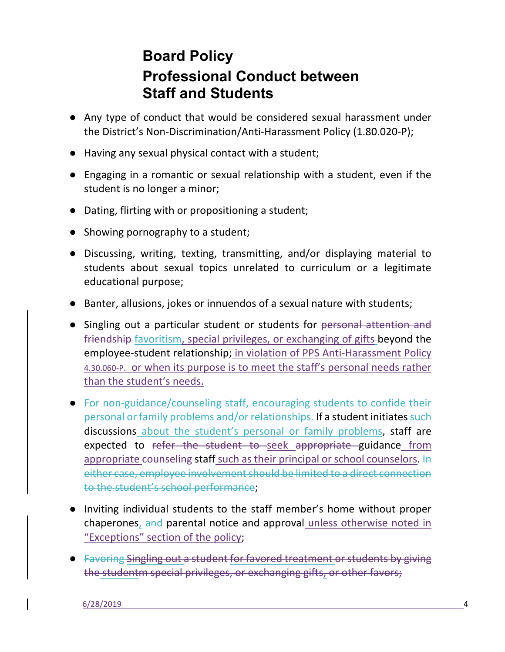- Any type of conduct that would be considered sexual harassment under the District's Non-Discrimination/Anti-Harassment Policy (1.80.020-P);
- Having any sexual physical contact with a student;
- Engaging in a romantic or sexual relationship with a student, even if the student is no longer a minor;
- Dating, flirting with or propositioning a student;
- Showing pornography to a student;
- Discussing, writing, texting, transmitting, and/or displaying material to students about sexual topics unrelated to curriculum or a legitimate educational purpose;
- Banter, allusions, jokes or innuendos of a sexual nature with students;
- Singling out a particular student or students for personal attention and friendship favoritism, special privileges, or exchanging of gifts-beyond the employee-student relationship; in violation of PPS Anti-Harassment Policy 4.30.060-P. or when its purpose is to meet the staff's personal needs rather than the student's needs.
- For non-guidance/counseling staff, encouraging students to confide their personal or family problems and/or relationships. If a student initiates such discussions about the student's personal or family problems, staff are expected to refer the student to seek appropriate guidance from appropriate counseling staff such as their principal or school counselors.  $\text{ln}$ either case, employee involvement should be limited to a direct connection to the student's school performance;
- Inviting individual students to the staff member's home without proper chaperones, and parental notice and approval unless otherwise noted in "Exceptions" section of the policy;
- Favoring Singling out a student for favored treatment or students by giving the studentm special privileges, or exchanging gifts, or other favors;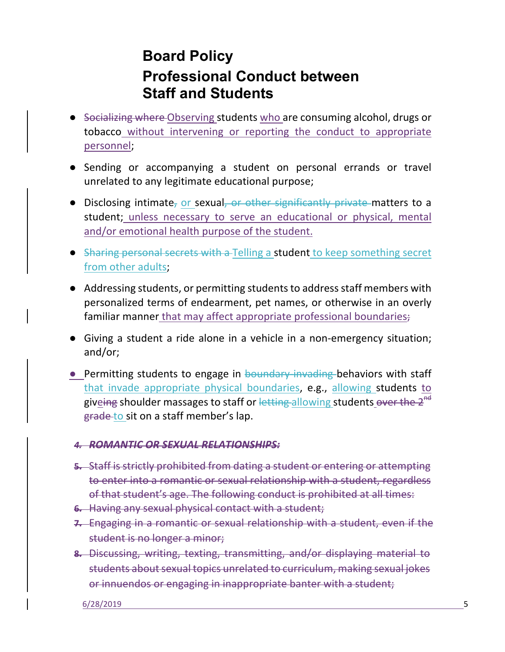- Socializing where Observing students who are consuming alcohol, drugs or tobacco without intervening or reporting the conduct to appropriate personnel;
- Sending or accompanying a student on personal errands or travel unrelated to any legitimate educational purpose;
- Disclosing intimate, or sexual, or other significantly private matters to a student; unless necessary to serve an educational or physical, mental and/or emotional health purpose of the student.
- Sharing personal secrets with a-Telling a student to keep something secret from other adults;
- Addressing students, or permitting students to address staff members with personalized terms of endearment, pet names, or otherwise in an overly familiar manner that may affect appropriate professional boundaries;
- Giving a student a ride alone in a vehicle in a non-emergency situation; and/or;
- Permitting students to engage in boundary-invading behaviors with staff that invade appropriate physical boundaries, e.g., allowing students to giveing shoulder massages to staff or letting allowing students over the 2<sup>nd</sup> grade to sit on a staff member's lap.

### *4. ROMANTIC OR SEXUAL RELATIONSHIPS:*

- **5.** Staff is strictly prohibited from dating a student or entering or attempting to enter into a romantic or sexual relationship with a student, regardless of that student's age. The following conduct is prohibited at all times:
- **6.** Having any sexual physical contact with a student;
- **7.** Engaging in a romantic or sexual relationship with a student, even if the student is no longer a minor;
- 8. Discussing, writing, texting, transmitting, and/or displaying material to students about sexual topics unrelated to curriculum, making sexual jokes or innuendos or engaging in inappropriate banter with a student;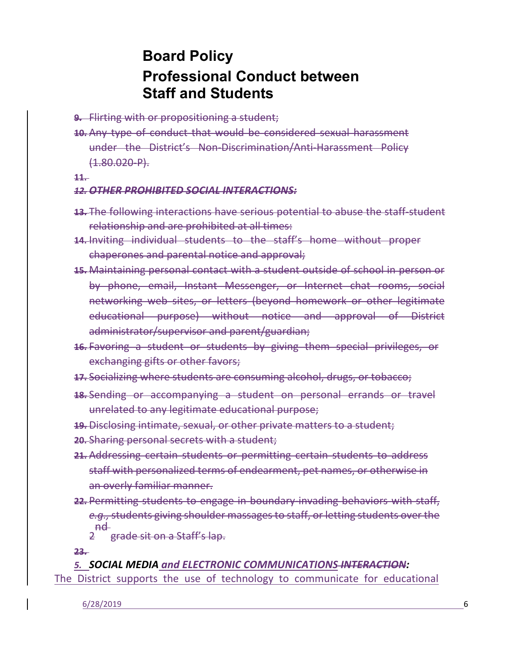- **9.** Flirting with or propositioning a student;
- **10.** Any type of conduct that would be considered sexual harassment under the District's Non-Discrimination/Anti-Harassment Policy (1.80.020-P).
- **11.**

#### *12. OTHER PROHIBITED SOCIAL INTERACTIONS:*

- **13.** The following interactions have serious potential to abuse the staff-student relationship and are prohibited at all times:
- 14. Inviting individual students to the staff's home without proper chaperones and parental notice and approval;
- **15.** Maintaining personal contact with a student outside of school in person or by phone, email, Instant Messenger, or Internet chat rooms, social networking web sites, or letters (beyond homework or other legitimate educational purpose) without notice and approval of District administrator/supervisor and parent/guardian;
- 16. Favoring a student or students by giving them special privileges, or exchanging gifts or other favors;
- **17.** Socializing where students are consuming alcohol, drugs, or tobacco;
- 18. Sending or accompanying a student on personal errands or travel unrelated to any legitimate educational purpose;
- **19.** Disclosing intimate, sexual, or other private matters to a student;
- **20.** Sharing personal secrets with a student;
- **21.** Addressing certain students or permitting certain students to address staff with personalized terms of endearment, pet names, or otherwise in an overly familiar manner.
- 22. Permitting students to engage in boundary-invading behaviors with staff, e.g., students giving shoulder massages to staff, or letting students over the 2 nd grade sit on a Staff's lap.

**23.**

*5. SOCIAL MEDIA and ELECTRONIC COMMUNICATIONS INTERACTION:* The District supports the use of technology to communicate for educational

6/28/2019 6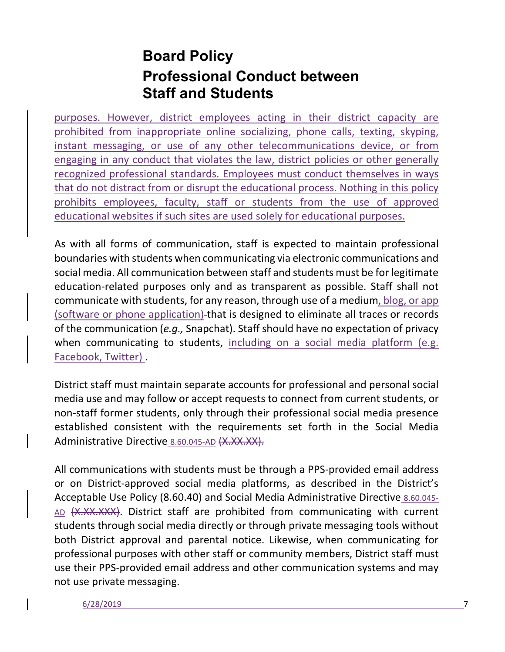purposes. However, district employees acting in their district capacity are prohibited from inappropriate online socializing, phone calls, texting, skyping, instant messaging, or use of any other telecommunications device, or from engaging in any conduct that violates the law, district policies or other generally recognized professional standards. Employees must conduct themselves in ways that do not distract from or disrupt the educational process. Nothing in this policy prohibits employees, faculty, staff or students from the use of approved educational websites if such sites are used solely for educational purposes.

As with all forms of communication, staff is expected to maintain professional boundaries with students when communicating via electronic communications and social media. All communication between staff and students must be for legitimate education-related purposes only and as transparent as possible. Staff shall not communicate with students, for any reason, through use of a medium, blog, or app (software or phone application)-that is designed to eliminate all traces or records of the communication (*e.g.,* Snapchat). Staff should have no expectation of privacy when communicating to students, including on a social media platform (e.g. Facebook, Twitter).

District staff must maintain separate accounts for professional and personal social media use and may follow or accept requests to connect from current students, or non-staff former students, only through their professional social media presence established consistent with the requirements set forth in the Social Media Administrative Directive 8.60.045-AD (X.XX.XX).

All communications with students must be through a PPS-provided email address or on District-approved social media platforms, as described in the District's Acceptable Use Policy (8.60.40) and Social Media Administrative Directive 8.60.045-AD (X.XX.XXX). District staff are prohibited from communicating with current students through social media directly or through private messaging tools without both District approval and parental notice. Likewise, when communicating for professional purposes with other staff or community members, District staff must use their PPS-provided email address and other communication systems and may not use private messaging.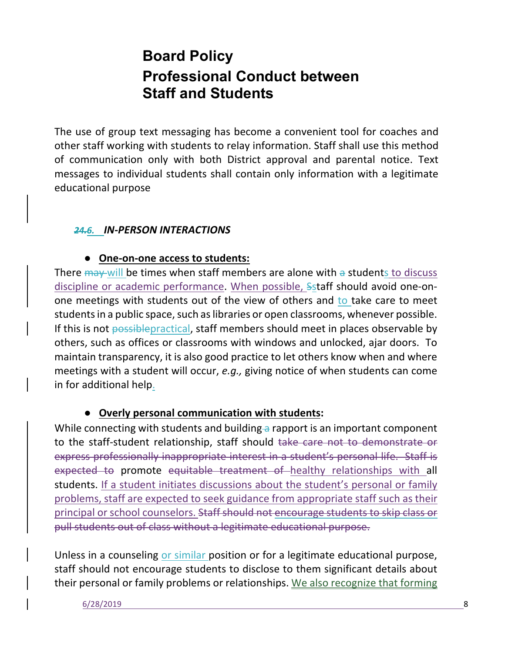The use of group text messaging has become a convenient tool for coaches and other staff working with students to relay information. Staff shall use this method of communication only with both District approval and parental notice. Text messages to individual students shall contain only information with a legitimate educational purpose

### *24.6. IN-PERSON INTERACTIONS*

### **• One-on-one access to students:**

There  $\frac{m}{v}$  will be times when staff members are alone with a students to discuss discipline or academic performance. When possible, Sstaff should avoid one-onone meetings with students out of the view of others and to take care to meet students in a public space, such as libraries or open classrooms, whenever possible. If this is not possible practical, staff members should meet in places observable by others, such as offices or classrooms with windows and unlocked, ajar doors. To maintain transparency, it is also good practice to let others know when and where meetings with a student will occur, *e.g.*, giving notice of when students can come in for additional help.

### **• Overly personal communication with students:**

While connecting with students and building  $\frac{1}{2}$  rapport is an important component to the staff-student relationship, staff should take care not to demonstrate or express professionally inappropriate interest in a student's personal life. Staff is expected to promote equitable treatment of healthy relationships with all students. If a student initiates discussions about the student's personal or family problems, staff are expected to seek guidance from appropriate staff such as their principal or school counselors. Staff should not encourage students to skip class or pull students out of class without a legitimate educational purpose.

Unless in a counseling or similar position or for a legitimate educational purpose, staff should not encourage students to disclose to them significant details about their personal or family problems or relationships. We also recognize that forming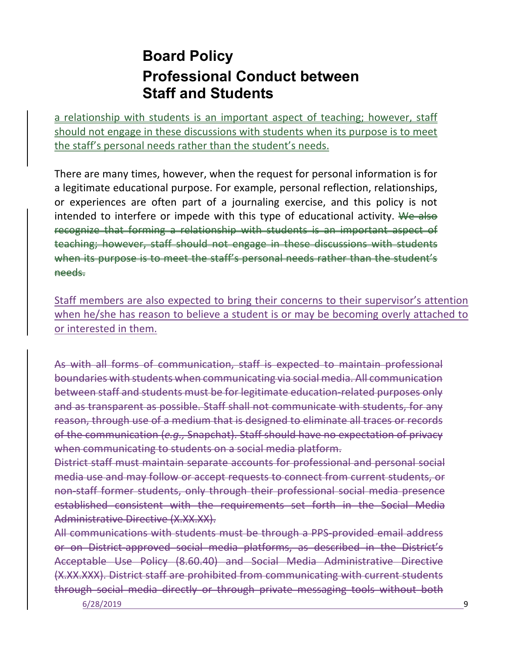a relationship with students is an important aspect of teaching; however, staff should not engage in these discussions with students when its purpose is to meet the staff's personal needs rather than the student's needs.

There are many times, however, when the request for personal information is for a legitimate educational purpose. For example, personal reflection, relationships, or experiences are often part of a journaling exercise, and this policy is not intended to interfere or impede with this type of educational activity. We also recognize that forming a relationship with students is an important aspect of teaching; however, staff should not engage in these discussions with students when its purpose is to meet the staff's personal needs rather than the student's needs.

Staff members are also expected to bring their concerns to their supervisor's attention when he/she has reason to believe a student is or may be becoming overly attached to or interested in them.

As with all forms of communication, staff is expected to maintain professional boundaries with students when communicating via social media. All communication between staff and students must be for legitimate education-related purposes only and as transparent as possible. Staff shall not communicate with students, for any reason, through use of a medium that is designed to eliminate all traces or records of the communication (e.g., Snapchat). Staff should have no expectation of privacy when communicating to students on a social media platform.

District staff must maintain separate accounts for professional and personal social media use and may follow or accept requests to connect from current students, or non-staff former students, only through their professional social media presence established consistent with the requirements set forth in the Social Media Administrative Directive (X.XX.XX).

All communications with students must be through a PPS-provided email address or on District-approved social media platforms, as described in the District's Acceptable Use Policy (8.60.40) and Social Media Administrative Directive (X.XX.XXX). District staff are prohibited from communicating with current students through social media directly or through private messaging tools without both

6/28/2019 9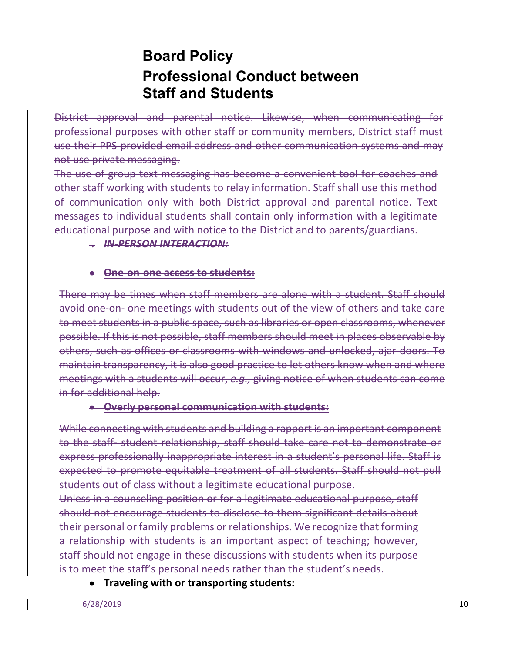District approval and parental notice. Likewise, when communicating for professional purposes with other staff or community members, District staff must use their PPS-provided email address and other communication systems and may not use private messaging.

The use of group text messaging has become a convenient tool for coaches and other staff working with students to relay information. Staff shall use this method of communication only with both District approval and parental notice. Text messages to individual students shall contain only information with a legitimate educational purpose and with notice to the District and to parents/guardians.

#### *. IN-PERSON INTERACTION:*

#### **• One-on-one access to students:**

There may be times when staff members are alone with a student. Staff should avoid one-on-one meetings with students out of the view of others and take care to meet students in a public space, such as libraries or open classrooms, whenever possible. If this is not possible, staff members should meet in places observable by others, such as offices or classrooms with windows and unlocked, ajar doors. To maintain transparency, it is also good practice to let others know when and where meetings with a students will occur, e.g., giving notice of when students can come in for additional help.

### **• Overly personal communication with students:**

While connecting with students and building a rapport is an important component to the staff- student relationship, staff should take care not to demonstrate or express professionally inappropriate interest in a student's personal life. Staff is expected to promote equitable treatment of all students. Staff should not pull students out of class without a legitimate educational purpose.

Unless in a counseling position or for a legitimate educational purpose, staff should not encourage students to disclose to them significant details about their personal or family problems or relationships. We recognize that forming a relationship with students is an important aspect of teaching; however, staff should not engage in these discussions with students when its purpose is to meet the staff's personal needs rather than the student's needs.

● **Traveling with or transporting students:**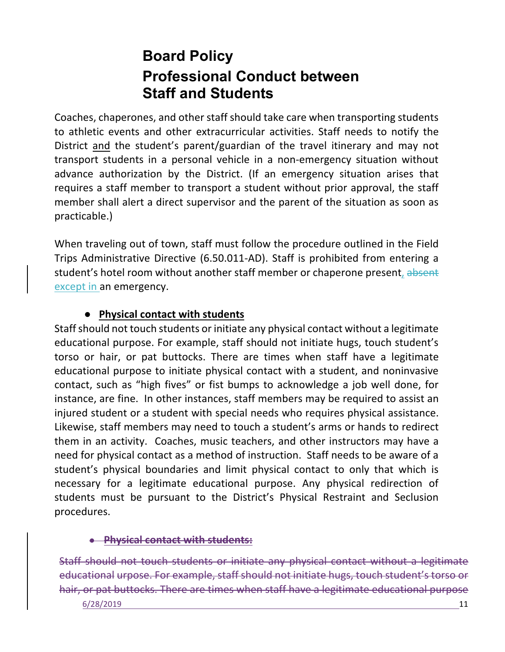Coaches, chaperones, and other staff should take care when transporting students to athletic events and other extracurricular activities. Staff needs to notify the District and the student's parent/guardian of the travel itinerary and may not transport students in a personal vehicle in a non-emergency situation without advance authorization by the District. (If an emergency situation arises that requires a staff member to transport a student without prior approval, the staff member shall alert a direct supervisor and the parent of the situation as soon as practicable.)

When traveling out of town, staff must follow the procedure outlined in the Field Trips Administrative Directive (6.50.011-AD). Staff is prohibited from entering a student's hotel room without another staff member or chaperone present, absent except in an emergency.

### **•** Physical contact with students

Staff should not touch students or initiate any physical contact without a legitimate educational purpose. For example, staff should not initiate hugs, touch student's torso or hair, or pat buttocks. There are times when staff have a legitimate educational purpose to initiate physical contact with a student, and noninvasive contact, such as "high fives" or fist bumps to acknowledge a job well done, for instance, are fine. In other instances, staff members may be required to assist an injured student or a student with special needs who requires physical assistance. Likewise, staff members may need to touch a student's arms or hands to redirect them in an activity. Coaches, music teachers, and other instructors may have a need for physical contact as a method of instruction. Staff needs to be aware of a student's physical boundaries and limit physical contact to only that which is necessary for a legitimate educational purpose. Any physical redirection of students must be pursuant to the District's Physical Restraint and Seclusion procedures. 

### **Physical contact with students:**

Staff should not touch students or initiate any physical contact without a legitimate educational urpose. For example, staff should not initiate hugs, touch student's torso or hair, or pat buttocks. There are times when staff have a legitimate educational purpose

6/28/2019 11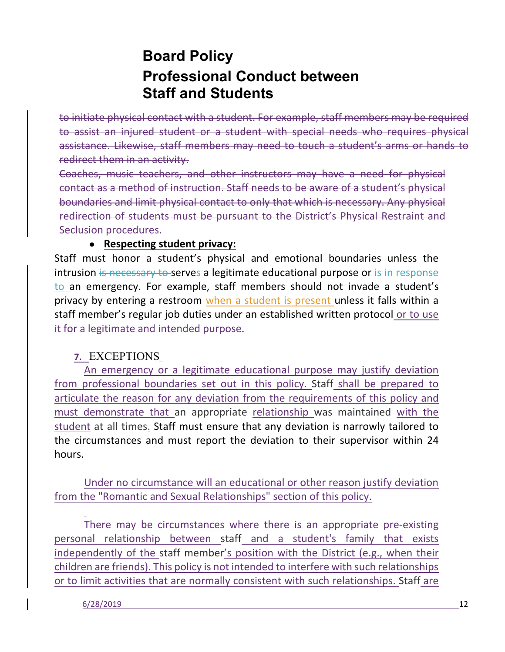to initiate physical contact with a student. For example, staff members may be required to assist an injured student or a student with special needs who requires physical assistance. Likewise, staff members may need to touch a student's arms or hands to redirect them in an activity.

Coaches, music teachers, and other instructors may have a need for physical contact as a method of instruction. Staff needs to be aware of a student's physical boundaries and limit physical contact to only that which is necessary. Any physical redirection of students must be pursuant to the District's Physical Restraint and Seclusion procedures.

### ● **Respecting student privacy:**

Staff must honor a student's physical and emotional boundaries unless the intrusion is necessary to serves a legitimate educational purpose or is in response to an emergency. For example, staff members should not invade a student's privacy by entering a restroom when a student is present unless it falls within a staff member's regular job duties under an established written protocol or to use it for a legitimate and intended purpose.

### **7.** EXCEPTIONS

An emergency or a legitimate educational purpose may justify deviation from professional boundaries set out in this policy. Staff shall be prepared to articulate the reason for any deviation from the requirements of this policy and must demonstrate that an appropriate relationship was maintained with the student at all times. Staff must ensure that any deviation is narrowly tailored to the circumstances and must report the deviation to their supervisor within 24 hours.

Under no circumstance will an educational or other reason justify deviation from the "Romantic and Sexual Relationships" section of this policy.

There may be circumstances where there is an appropriate pre-existing personal relationship between staff and a student's family that exists independently of the staff member's position with the District (e.g., when their children are friends). This policy is not intended to interfere with such relationships or to limit activities that are normally consistent with such relationships. Staff are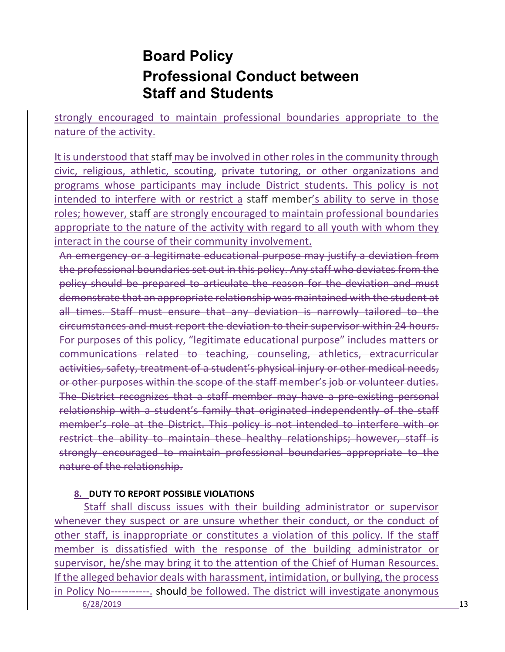strongly encouraged to maintain professional boundaries appropriate to the nature of the activity.

It is understood that staff may be involved in other roles in the community through civic, religious, athletic, scouting, private tutoring, or other organizations and programs whose participants may include District students. This policy is not intended to interfere with or restrict a staff member's ability to serve in those roles; however, staff are strongly encouraged to maintain professional boundaries appropriate to the nature of the activity with regard to all youth with whom they interact in the course of their community involvement.

An emergency or a legitimate educational purpose may justify a deviation from the professional boundaries set out in this policy. Any staff who deviates from the policy should be prepared to articulate the reason for the deviation and must demonstrate that an appropriate relationship was maintained with the student at all times. Staff must ensure that any deviation is narrowly tailored to the circumstances and must report the deviation to their supervisor within 24 hours. For purposes of this policy, "legitimate educational purpose" includes matters or communications related to teaching, counseling, athletics, extracurricular activities, safety, treatment of a student's physical injury or other medical needs, or other purposes within the scope of the staff member's job or volunteer duties. The District recognizes that a staff member may have a pre-existing personal relationship with a student's family that originated independently of the staff member's role at the District. This policy is not intended to interfere with or restrict the ability to maintain these healthy relationships; however, staff is strongly encouraged to maintain professional boundaries appropriate to the nature of the relationship.

### **8. DUTY TO REPORT POSSIBLE VIOLATIONS**

6/28/2019 13 Staff shall discuss issues with their building administrator or supervisor whenever they suspect or are unsure whether their conduct, or the conduct of other staff, is inappropriate or constitutes a violation of this policy. If the staff member is dissatisfied with the response of the building administrator or supervisor, he/she may bring it to the attention of the Chief of Human Resources. If the alleged behavior deals with harassment, intimidation, or bullying, the process in Policy No-----------. should be followed. The district will investigate anonymous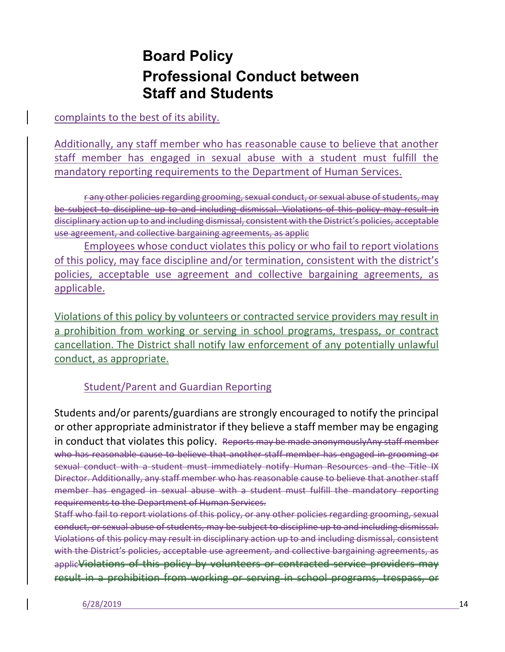complaints to the best of its ability.

Additionally, any staff member who has reasonable cause to believe that another staff member has engaged in sexual abuse with a student must fulfill the mandatory reporting requirements to the Department of Human Services.

r any other policies regarding grooming, sexual conduct, or sexual abuse of students, may be subject to discipline up to and including dismissal. Violations of this policy may result in disciplinary action up to and including dismissal, consistent with the District's policies, acceptable use agreement, and collective bargaining agreements, as applic

Employees whose conduct violates this policy or who fail to report violations of this policy, may face discipline and/or termination, consistent with the district's policies, acceptable use agreement and collective bargaining agreements, as applicable.

Violations of this policy by volunteers or contracted service providers may result in a prohibition from working or serving in school programs, trespass, or contract cancellation. The District shall notify law enforcement of any potentially unlawful conduct, as appropriate.

### Student/Parent and Guardian Reporting

Students and/or parents/guardians are strongly encouraged to notify the principal or other appropriate administrator if they believe a staff member may be engaging in conduct that violates this policy. Reports may be made anonymouslyAny staff member who has reasonable cause to believe that another staff member has engaged in grooming or sexual conduct with a student must immediately notify Human Resources and the Title IX Director. Additionally, any staff member who has reasonable cause to believe that another staff member has engaged in sexual abuse with a student must fulfill the mandatory reporting requirements to the Department of Human Services.

Staff who fail to report violations of this policy, or any other policies regarding grooming, sexual conduct, or sexual abuse of students, may be subject to discipline up to and including dismissal. Violations of this policy may result in disciplinary action up to and including dismissal, consistent with the District's policies, acceptable use agreement, and collective bargaining agreements, as applicViolations of this policy by volunteers or contracted service providers may result in a prohibition from working or serving in school programs, trespass, or